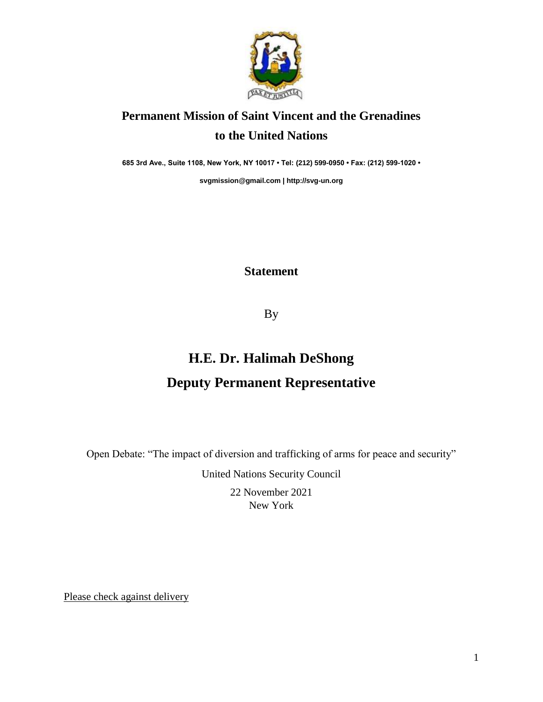

## **Permanent Mission of Saint Vincent and the Grenadines to the United Nations**

**685 3rd Ave., Suite 1108, New York, NY 10017 • Tel: (212) 599-0950 • Fax: (212) 599-1020 •** 

**[svgmission@gmail.com](mailto:svgmission@gmail.com) [| http://svg-un.org](http://svg-un.org/)**

## **Statement**

By

## **H.E. Dr. Halimah DeShong Deputy Permanent Representative**

Open Debate: "The impact of diversion and trafficking of arms for peace and security"

United Nations Security Council

22 November 2021 New York

Please check against delivery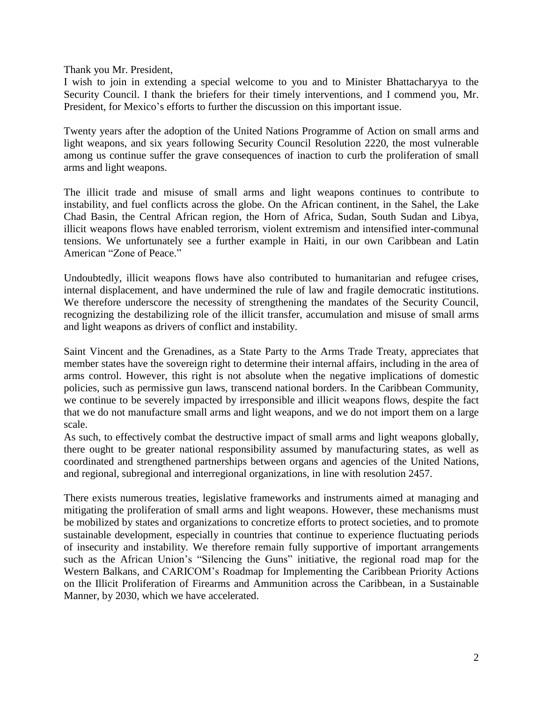Thank you Mr. President,

I wish to join in extending a special welcome to you and to Minister Bhattacharyya to the Security Council. I thank the briefers for their timely interventions, and I commend you, Mr. President, for Mexico's efforts to further the discussion on this important issue.

Twenty years after the adoption of the United Nations Programme of Action on small arms and light weapons, and six years following Security Council Resolution 2220, the most vulnerable among us continue suffer the grave consequences of inaction to curb the proliferation of small arms and light weapons.

The illicit trade and misuse of small arms and light weapons continues to contribute to instability, and fuel conflicts across the globe. On the African continent, in the Sahel, the Lake Chad Basin, the Central African region, the Horn of Africa, Sudan, South Sudan and Libya, illicit weapons flows have enabled terrorism, violent extremism and intensified inter-communal tensions. We unfortunately see a further example in Haiti, in our own Caribbean and Latin American "Zone of Peace."

Undoubtedly, illicit weapons flows have also contributed to humanitarian and refugee crises, internal displacement, and have undermined the rule of law and fragile democratic institutions. We therefore underscore the necessity of strengthening the mandates of the Security Council, recognizing the destabilizing role of the illicit transfer, accumulation and misuse of small arms and light weapons as drivers of conflict and instability.

Saint Vincent and the Grenadines, as a State Party to the Arms Trade Treaty, appreciates that member states have the sovereign right to determine their internal affairs, including in the area of arms control. However, this right is not absolute when the negative implications of domestic policies, such as permissive gun laws, transcend national borders. In the Caribbean Community, we continue to be severely impacted by irresponsible and illicit weapons flows, despite the fact that we do not manufacture small arms and light weapons, and we do not import them on a large scale.

As such, to effectively combat the destructive impact of small arms and light weapons globally, there ought to be greater national responsibility assumed by manufacturing states, as well as coordinated and strengthened partnerships between organs and agencies of the United Nations, and regional, subregional and interregional organizations, in line with resolution 2457.

There exists numerous treaties, legislative frameworks and instruments aimed at managing and mitigating the proliferation of small arms and light weapons. However, these mechanisms must be mobilized by states and organizations to concretize efforts to protect societies, and to promote sustainable development, especially in countries that continue to experience fluctuating periods of insecurity and instability. We therefore remain fully supportive of important arrangements such as the African Union's "Silencing the Guns" initiative, the regional road map for the Western Balkans, and CARICOM's Roadmap for Implementing the Caribbean Priority Actions on the Illicit Proliferation of Firearms and Ammunition across the Caribbean, in a Sustainable Manner, by 2030, which we have accelerated.